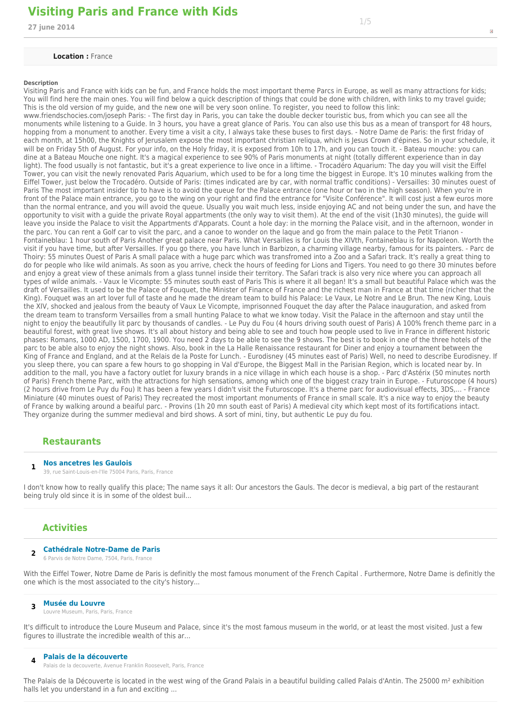## **Visiting Paris and France with Kids and the set of the set of the set of the set of the set of the set of the s<br>27 june 2014 2014**

#### **Location :** France

#### **Description**

Visiting Paris and France with kids can be fun, and France holds the most important theme Parcs in Europe, as well as many attractions for kids; You will find here the main ones. You will find below a quick description of things that could be done with children, with links to my travel guide; This is the old version of my guide, and the new one will be very soon online. To register, you need to follow this link:

www.friendschocies.com/joseph Paris: - The first day in Paris, you can take the double decker touristic bus, from which you can see all the monuments while listening to a Guide. In 3 hours, you have a great glance of Paris. You can also use this bus as a mean of transport for 48 hours, hopping from a monument to another. Every time a visit a city, I always take these buses to first days. - Notre Dame de Paris: the first friday of each month, at 15h00, the Knights of Jerusalem expose the most important christian reliqua, which is Jesus Crown d'épines. So in your schedule, it will be on Friday 5th of August. For your info, on the Holy friday, it is exposed from 10h to 17h, and you can touch it. - Bateau mouche: you can dine at a Bateau Mouche one night. It's a magical experience to see 90% of Paris monuments at night (totally different experience than in day light). The food usually is not fantastic, but it's a great experience to live once in a liftime. - Trocadéro Aquarium: The day you will visit the Eiffel Tower, you can visit the newly renovated Paris Aquarium, which used to be for a long time the biggest in Europe. It's 10 minutes walking from the Eiffel Tower, just below the Trocadéro. Outside of Paris: (times indicated are by car, with normal traffic conditions) - Versailles: 30 minutes ouest of Paris The most important insider tip to have is to avoid the queue for the Palace entrance (one hour or two in the high season). When you're in front of the Palace main entrance, you go to the wing on your right and find the entrance for "Visite Conférence". It will cost just a few euros more than the normal entrance, and you will avoid the queue. Usually you wait much less, inside enjoying AC and not being under the sun, and have the opportunity to visit with a guide the private Royal appartments (the only way to visit them). At the end of the visit (1h30 minutes), the guide will leave you inside the Palace to visit the Appartments d'Apparats. Count a hole day: in the morning the Palace visit, and in the afternoon, wonder in the parc. You can rent a Golf car to visit the parc, and a canoe to wonder on the laque and go from the main palace to the Petit Trianon - Fontaineblau: 1 hour south of Paris Another great palace near Paris. What Versailles is for Louis the XIVth, Fontaineblau is for Napoleon. Worth the visit if you have time, but after Versailles. If you go there, you have lunch in Barbizon, a charming village nearby, famous for its painters. - Parc de Thoiry: 55 minutes Ouest of Paris A small palace with a huge parc which was transfromed into a Zoo and a Safari track. It's really a great thing to do for people who like wild animals. As soon as you arrive, check the hours of feeding for Lions and Tigers. You need to go there 30 minutes before and enjoy a great view of these animals from a glass tunnel inside their territory. The Safari track is also very nice where you can approach all types of wilde animals. - Vaux le Vicompte: 55 minutes south east of Paris This is where it all began! It's a small but beautiful Palace which was the draft of Versailles. It used to be the Palace of Fouquet, the Minister of Finance of France and the richest man in France at that time (richer that the King). Fouquet was an art lover full of taste and he made the dream team to build his Palace: Le Vaux, Le Notre and Le Brun. The new King, Louis the XIV, shocked and jealous from the beauty of Vaux Le Vicompte, imprisonned Fouquet the day after the Palace inauguration, and asked from the dream team to transform Versailles from a small hunting Palace to what we know today. Visit the Palace in the afternoon and stay until the night to enjoy the beautifully lit parc by thousands of candles. - Le Puy du Fou (4 hours driving south ouest of Paris) A 100% french theme parc in a beautiful forest, with great live shows. It's all about history and being able to see and touch how people used to live in France in different historic phases: Romans, 1000 AD, 1500, 1700, 1900. You need 2 days to be able to see the 9 shows. The best is to book in one of the three hotels of the parc to be able also to enjoy the night shows. Also, book in the La Halle Renaissance restaurant for Diner and enjoy a tournament between the King of France and England, and at the Relais de la Poste for Lunch. - Eurodisney (45 minutes east of Paris) Well, no need to describe Eurodisney. If you sleep there, you can spare a few hours to go shopping in Val d'Europe, the Biggest Mall in the Parisian Region, which is located near by. In addition to the mall, you have a factory outlet for luxury brands in a nice village in which each house is a shop. - Parc d'Astérix (50 minutes north of Paris) French theme Parc, with the attractions for high sensations, among which one of the biggest crazy train in Europe. - Futuroscope (4 hours) (2 hours drive from Le Puy du Fou) It has been a few years I didn't visit the Futuroscope. It's a theme parc for audiovisual effects, 3DS,... - France Miniature (40 minutes ouest of Paris) They recreated the most important monuments of France in small scale. It's a nice way to enjoy the beauty of France by walking around a beaiful parc. - Provins (1h 20 mn south east of Paris) A medieval city which kept most of its fortifications intact. They organize during the summer medieval and bird shows. A sort of mini, tiny, but authentic Le puy du fou.

### **Restaurants**

#### **1 Nos ancetres les Gaulois**

39, rue Saint-Louis-en-l'Ile 75004 Paris, Paris, France

I don't know how to really qualify this place; The name says it all: Our ancestors the Gauls. The decor is medieval, a big part of the restaurant being truly old since it is in some of the oldest buil...

#### **Activities**

#### **2 Cathédrale Notre-Dame de Paris**

6 Parvis de Notre Dame, 7504, Paris, France

With the Eiffel Tower, Notre Dame de Paris is definitly the most famous monument of the French Capital . Furthermore, Notre Dame is definitly the one which is the most associated to the city's history...

#### **3 Musée du Louvre**

Louvre Museum, Paris, Paris, France

It's difficult to introduce the Loure Museum and Palace, since it's the most famous museum in the world, or at least the most visited. Just a few figures to illustrate the incredible wealth of this ar...

- **4 Palais de la découverte**
- Palais de la decouverte, Avenue Franklin Roosevelt, Paris, France

The Palais de la Découverte is located in the west wing of the Grand Palais in a beautiful building called Palais d'Antin. The 25000 m<sup>2</sup> exhibition halls let you understand in a fun and exciting ...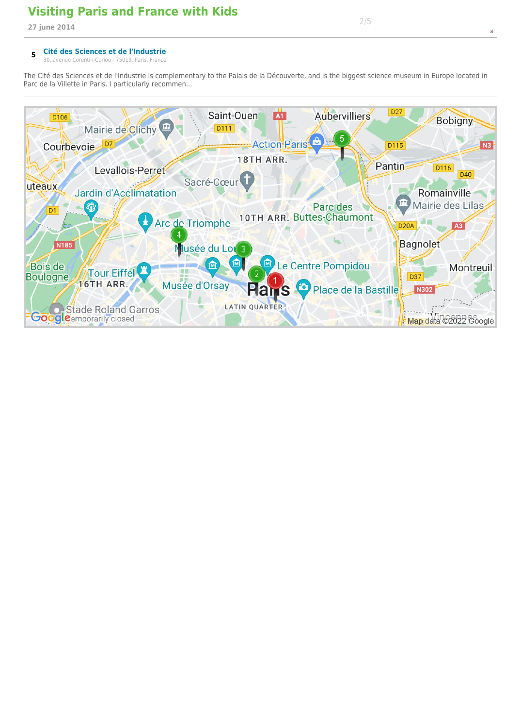## **Visiting Paris and France with Kids 27 june 2014** 2/52

#### **5 Cité des Sciences et de l'Industrie**

30, avenue Corentin-Cariou - 75019, Paris, France

The Cité des Sciences et de l'Industrie is complementary to the Palais de la Découverte, and is the biggest science museum in Europe located in Parc de la Villette in Paris. I particularly recommen...

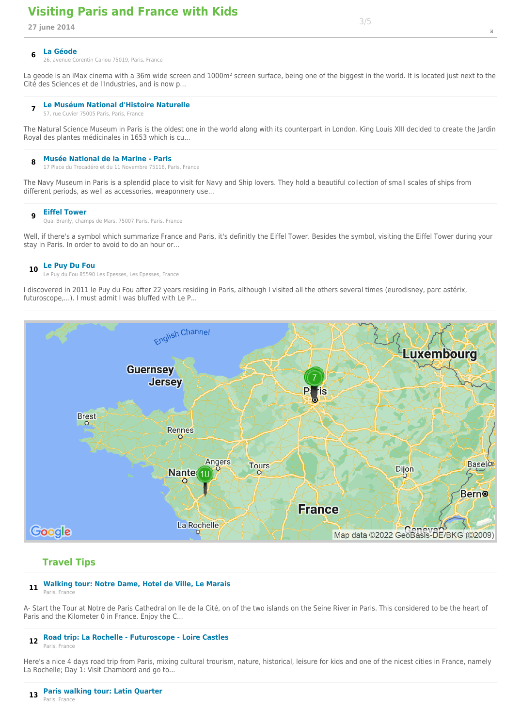# **Visiting Paris and France with Kids 27 june 2014** 3/53

26, avenue Corentin Cariou 75019, Paris, France

La geode is an iMax cinema with a 36m wide screen and 1000m<sup>2</sup> screen surface, being one of the biggest in the world. It is located just next to the Cité des Sciences et de l'Industries, and is now p...

#### **7 Le Muséum National d'Histoire Naturelle**

57, rue Cuvier 75005 Paris, Paris, France

The Natural Science Museum in Paris is the oldest one in the world along with its counterpart in London. King Louis XIII decided to create the Jardin Royal des plantes médicinales in 1653 which is cu...

#### **8 Musée National de la Marine - Paris**

17 Place du Trocadéro et du 11 Novembre 75116, Paris, France

The Navy Museum in Paris is a splendid place to visit for Navy and Ship lovers. They hold a beautiful collection of small scales of ships from different periods, as well as accessories, weaponnery use...

#### **9 Eiffel Tower**

Quai Branly, champs de Mars, 75007 Paris, Paris, France

Well, if there's a symbol which summarize France and Paris, it's definitly the Eiffel Tower. Besides the symbol, visiting the Eiffel Tower during your stay in Paris. In order to avoid to do an hour or...

### **<sup>10</sup> Le Puy Du Fou**

Le Puy du Fou 85590 Les Epesses, Les Epesses, France

I discovered in 2011 le Puy du Fou after 22 years residing in Paris, although I visited all the others several times (eurodisney, parc astérix, futuroscope,...). I must admit I was bluffed with Le P...



### **Travel Tips**

## **<sup>11</sup> Walking tour: Notre Dame, Hotel de Ville, Le Marais**

Paris, France

A- Start the Tour at Notre de Paris Cathedral on Ile de la Cité, on of the two islands on the Seine River in Paris. This considered to be the heart of Paris and the Kilometer 0 in France. Enjoy the C...

#### **<sup>12</sup> Road trip: La Rochelle - Futuroscope - Loire Castles**

Paris, France

Here's a nice 4 days road trip from Paris, mixing cultural trourism, nature, historical, leisure for kids and one of the nicest cities in France, namely La Rochelle; Day 1: Visit Chambord and go to...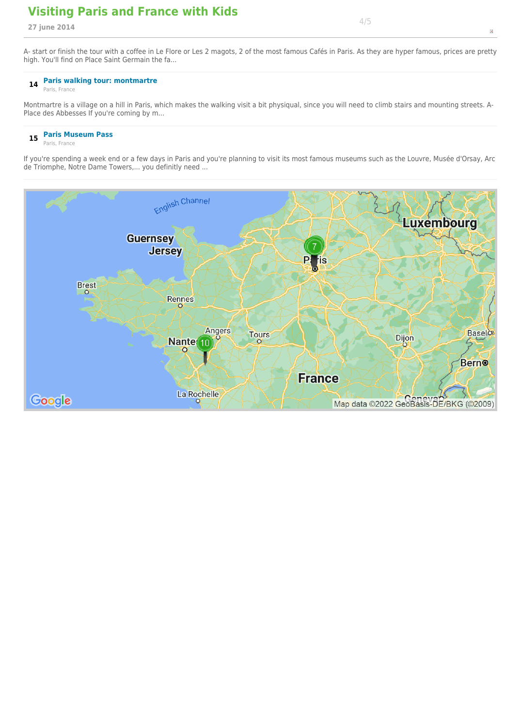## **Visiting Paris and France with Kids 27 june 2014** 4/54

A- start or finish the tour with a coffee in Le Flore or Les 2 magots, 2 of the most famous Cafés in Paris. As they are hyper famous, prices are pretty high. You'll find on Place Saint Germain the fa...

## **<sup>14</sup> Paris walking tour: montmartre**

Paris, France

Montmartre is a village on a hill in Paris, which makes the walking visit a bit physiqual, since you will need to climb stairs and mounting streets. A-Place des Abbesses If you're coming by m...

## **<sup>15</sup> Paris Museum Pass**

Paris, France

If you're spending a week end or a few days in Paris and you're planning to visit its most famous museums such as the Louvre, Musée d'Orsay, Arc de Triomphe, Notre Dame Towers,... you definitly need ...